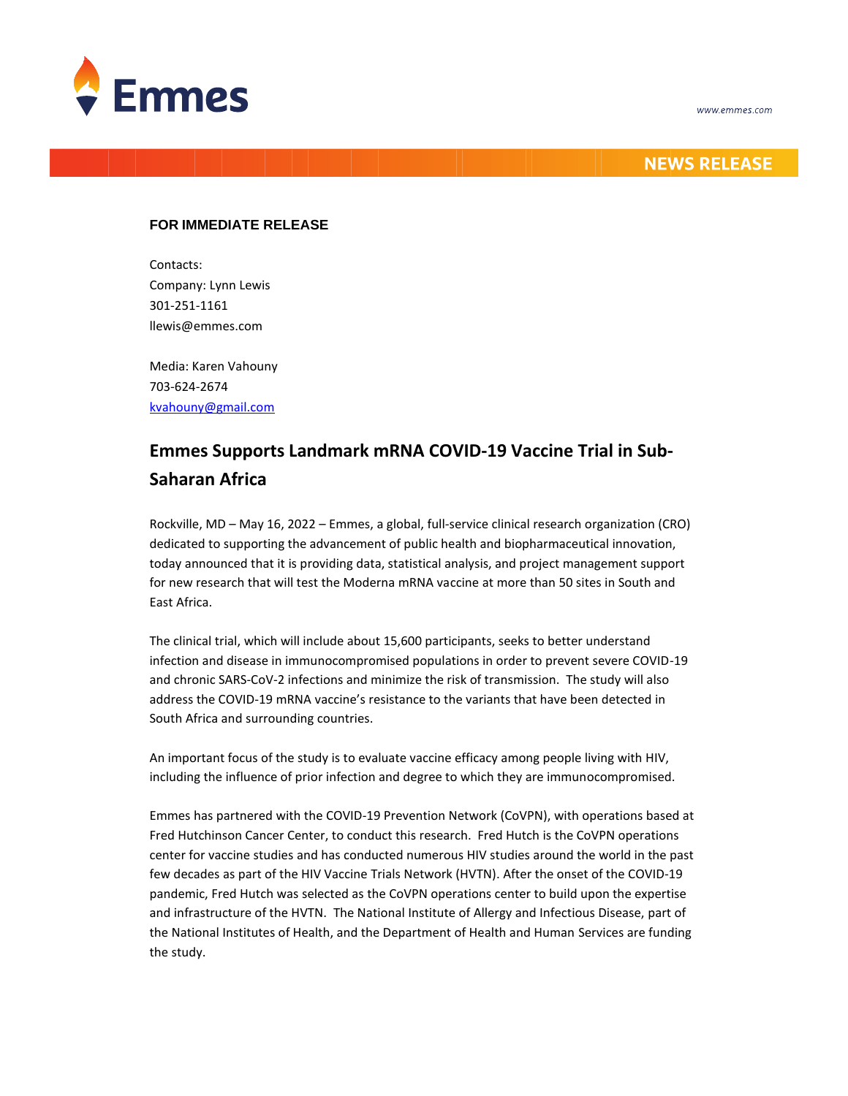



## **NEWS RELEASE**

## **FOR IMMEDIATE RELEASE**

Contacts: Company: Lynn Lewis 301-251-1161 llewis@emmes.com

Media: Karen Vahouny 703-624-2674 [kvahouny@gmail.com](mailto:kvahouny@gmail.com)

## **Emmes Supports Landmark mRNA COVID-19 Vaccine Trial in Sub-Saharan Africa**

Rockville, MD – May 16, 2022 – Emmes, a global, full-service clinical research organization (CRO) dedicated to supporting the advancement of public health and biopharmaceutical innovation, today announced that it is providing data, statistical analysis, and project management support for new research that will test the Moderna mRNA vaccine at more than 50 sites in South and East Africa.

The clinical trial, which will include about 15,600 participants, seeks to better understand infection and disease in immunocompromised populations in order to prevent severe COVID-19 and chronic SARS-CoV-2 infections and minimize the risk of transmission. The study will also address the COVID-19 mRNA vaccine's resistance to the variants that have been detected in South Africa and surrounding countries.

An important focus of the study is to evaluate vaccine efficacy among people living with HIV, including the influence of prior infection and degree to which they are immunocompromised.

Emmes has partnered with the COVID-19 Prevention Network (CoVPN), with operations based at Fred Hutchinson Cancer Center, to conduct this research. Fred Hutch is the CoVPN operations center for vaccine studies and has conducted numerous HIV studies around the world in the past few decades as part of the HIV Vaccine Trials Network (HVTN). After the onset of the COVID-19 pandemic, Fred Hutch was selected as the CoVPN operations center to build upon the expertise and infrastructure of the HVTN. The National Institute of Allergy and Infectious Disease, part of the National Institutes of Health, and the Department of Health and Human Services are funding the study.